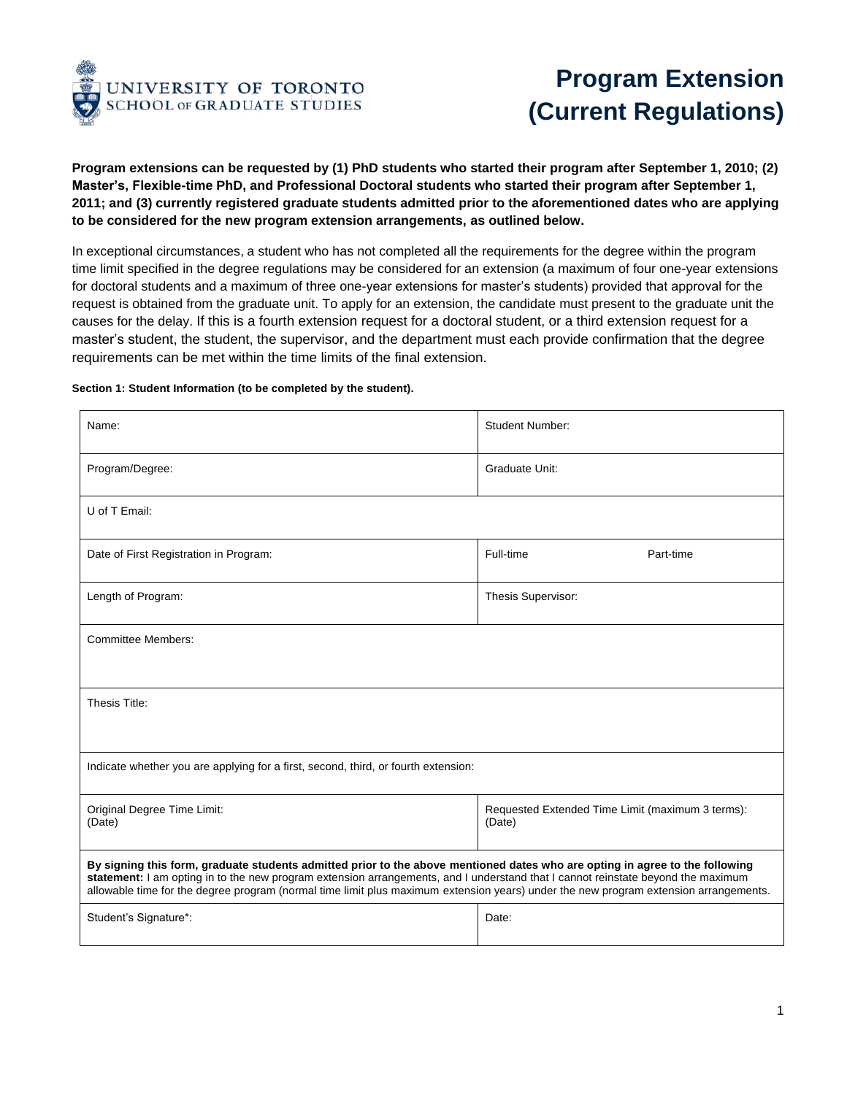

## **Program Extension (Current Regulations)**

**Program extensions can be requested by (1) PhD students who started their program after September 1, 2010; (2) Master's, Flexible-time PhD, and Professional Doctoral students who started their program after September 1, 2011; and (3) currently registered graduate students admitted prior to the aforementioned dates who are applying to be considered for the new program extension arrangements, as outlined below.**

In exceptional circumstances, a student who has not completed all the requirements for the degree within the program time limit specified in the degree regulations may be considered for an extension (a maximum of four one-year extensions for doctoral students and a maximum of three one-year extensions for master's students) provided that approval for the request is obtained from the graduate unit. To apply for an extension, the candidate must present to the graduate unit the causes for the delay. If this is a fourth extension request for a doctoral student, or a third extension request for a master's student, the student, the supervisor, and the department must each provide confirmation that the degree requirements can be met within the time limits of the final extension.

## **Section 1: Student Information (to be completed by the student).**

| Name:                                                                                                                                                                                                                                                                                                                                                                                                    | <b>Student Number:</b>                                     |  |  |  |
|----------------------------------------------------------------------------------------------------------------------------------------------------------------------------------------------------------------------------------------------------------------------------------------------------------------------------------------------------------------------------------------------------------|------------------------------------------------------------|--|--|--|
| Program/Degree:                                                                                                                                                                                                                                                                                                                                                                                          | Graduate Unit:                                             |  |  |  |
| U of T Email:                                                                                                                                                                                                                                                                                                                                                                                            |                                                            |  |  |  |
| Date of First Registration in Program:                                                                                                                                                                                                                                                                                                                                                                   | Full-time<br>Part-time                                     |  |  |  |
| Length of Program:                                                                                                                                                                                                                                                                                                                                                                                       | Thesis Supervisor:                                         |  |  |  |
| <b>Committee Members:</b>                                                                                                                                                                                                                                                                                                                                                                                |                                                            |  |  |  |
| Thesis Title:                                                                                                                                                                                                                                                                                                                                                                                            |                                                            |  |  |  |
| Indicate whether you are applying for a first, second, third, or fourth extension:                                                                                                                                                                                                                                                                                                                       |                                                            |  |  |  |
| Original Degree Time Limit:<br>(Date)                                                                                                                                                                                                                                                                                                                                                                    | Requested Extended Time Limit (maximum 3 terms):<br>(Date) |  |  |  |
| By signing this form, graduate students admitted prior to the above mentioned dates who are opting in agree to the following<br>statement: I am opting in to the new program extension arrangements, and I understand that I cannot reinstate beyond the maximum<br>allowable time for the degree program (normal time limit plus maximum extension years) under the new program extension arrangements. |                                                            |  |  |  |
| Student's Signature*:                                                                                                                                                                                                                                                                                                                                                                                    | Date:                                                      |  |  |  |